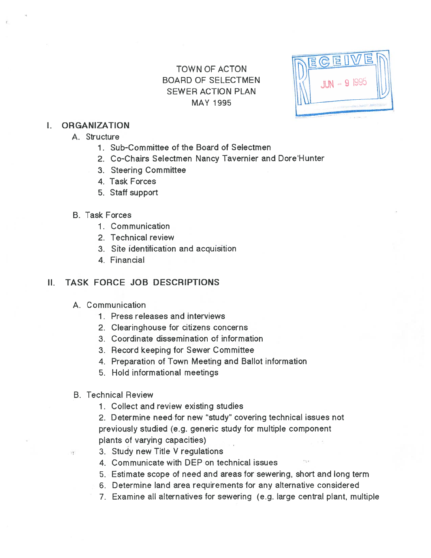# TOWN OF ACTON BOARD OF SELECTMEN **SEWER ACTION PLAN MAY 1995**

EGE JUN - 9 1995

### I. ORGANIZATION

- A. Structure
	- 1. Sub-Committee of the Board of Selectmen
	- 2. Co-Chairs Selectmen Nancy Tavernier and Dore'Hunter
	- 3. Steering Committee
	- 4. Task Forces
	- 5. Staff suppor<sup>t</sup>

### B. Task Forces

- 1. Communication
- 2. Technical review
- 3. Site identification and acquisition
- 4. Financial

# II. TASK FORCE JOB DESCRIPTIONS

- A. Communication
	- 1. Press releases and interviews
	- 2. Clearinghouse for citizens concerns
	- 3. Coordinate dissemination of information
	- 3. Record keeping for Sewer Committee
	- 4. Preparation of Town Meeting and Ballot information
	- 5. Hold informational meetings
- B. Technical Review

 $\sqrt{\gamma^*}$ 

1. Collect and review existing studies

2. Determine need for new "study" covering technical issues not previously studied (e.g. generic study for multiple componen<sup>t</sup> plants of varying capacities)

- 3. Study new Title V regulations
- 4. Communicate with DEP on technical issues
- 5. Estimate scope of need and areas for sewering, short and long term
- 6. Determine land area requirements for any alternative considered
- 7. Examine all alternatives for sewering (e.g. large central plant, multiple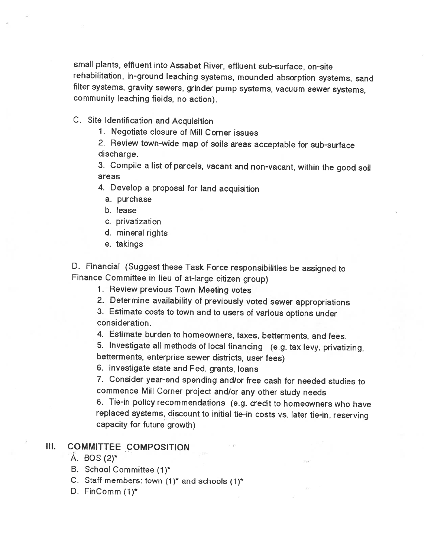small <sup>p</sup>lants, effluent into Assabet River, effluent sub-surface, on-site rehabilitation, in-ground leaching systems, mounded absorption systems, sand filter systems, gravity sewers, grinder pump systems, vacuum sewer systems, community leaching fields, no action).

C. Site Identification and Acquisition

1. Negotiate closure of Mill Corner issues

2. Review town-wide map of soils areas acceptable for sub-surface discharge.

3. Compile <sup>a</sup> list of parcels, vacant and non-vacant, within the good soil areas

4. Develop <sup>a</sup> proposal for land acquisition

- a. purchase
- b. lease
- C. privatization
- d. mineral rights
- e. takings

D. Financial (Suggest these Task Force responsibilities be assigned to Finance Committee in lieu of at-large citizen group)

1. Review previous Town Meeting votes

2. Determine availability of previously voted sewer appropriations

3. Estimate costs to town and to users of various options under consideration.

4. Estimate burden to homeowners, taxes, betterments, and fees.

5. Investigate all methods of local financing (e.g. tax levy, privatizing, betterments, enterprise sewer districts, user fees)

6. Investigate state and Fed. grants, loans

7. Consider year-end spending and/or free cash for needed studies to commence Mill Corner project and/or any other study needs

8. Tie-in policy recommendations (e.g. credit to homeowners who have replaced systems, discount to initial tie-in costs vs. later tie-in, reserving capacity for future growth)

### Ill. COMMITTEE COMPOSITION

- A. BOS(2)\*
- B. School Committee (1)\*
- C. Staff members: town  $(1)^*$  and schools  $(1)^*$
- D. FinComm (1)\*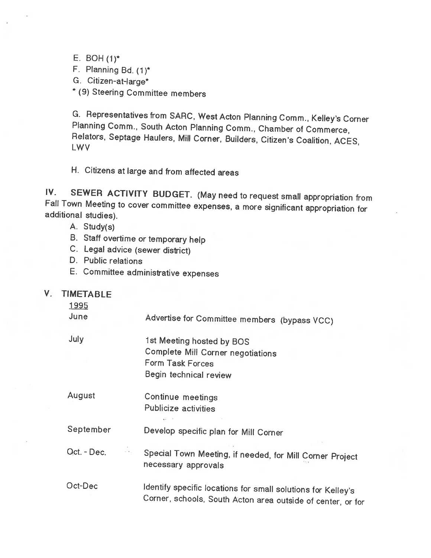E. BOH(1)\*

F. Planning Bd. (1)\*

G. Citizen-at-large\*

\* (9) Steering Committee members

G. Representatives from SARC, West Acton Planning Comm., Kelley's Corner Planning Comm., South Acton Planning Comm., Chamber of Commerce, Relators, Septage Haulers, Mill Corner, Builders, Citizen's Coalition, ACES, LWV

H. Citizens at large and from affected areas

IV. SEWER ACTIVITY BUDGET. (May need to request small appropriation from Fall Town Meeting to cover committee expenses, <sup>a</sup> more significant appropriation for additional studies).

- A. Study(s)
- B. Staff overtime or temporary help
- C. Legal advice (sewer district)
- D. Public relations
- E. Committee administrative expenses

### **V. TIMETABLE**

1995

June Advertise for Committee members (bypass VCC) July 1st Meeting hosted by BOS

Complete Mill Corner negotiations

August Continue meetings Publicize activities

September Develop specific <sup>p</sup>lan for Mill Corner

Form Task Forces

Begin technical review

Oct. - Dec. Special Town Meeting, if needed, for Mill Corner Project necessary approvals

Oct-Dec Identity specific locations for small solutions for Kelley's Corner, schools, South Acton area outside of center, or for